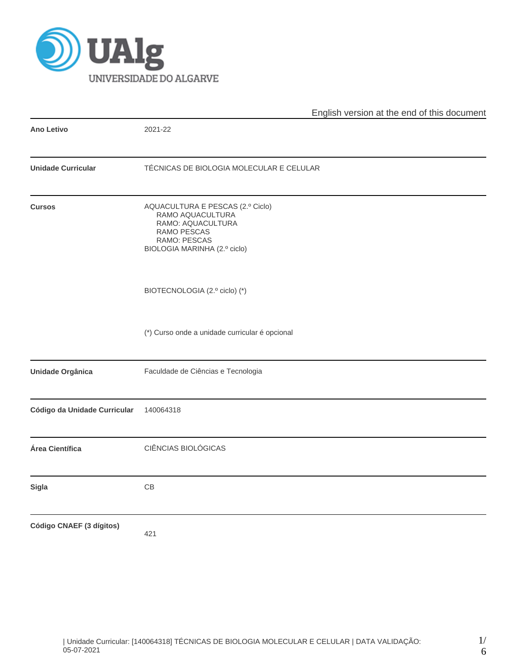

|                              |                                                                                                                                          | English version at the end of this document |
|------------------------------|------------------------------------------------------------------------------------------------------------------------------------------|---------------------------------------------|
| <b>Ano Letivo</b>            | 2021-22                                                                                                                                  |                                             |
| <b>Unidade Curricular</b>    | TÉCNICAS DE BIOLOGIA MOLECULAR E CELULAR                                                                                                 |                                             |
| <b>Cursos</b>                | AQUACULTURA E PESCAS (2.º Ciclo)<br>RAMO AQUACULTURA<br>RAMO: AQUACULTURA<br>RAMO PESCAS<br>RAMO: PESCAS<br>BIOLOGIA MARINHA (2.º ciclo) |                                             |
|                              | BIOTECNOLOGIA (2.º ciclo) (*)                                                                                                            |                                             |
|                              | (*) Curso onde a unidade curricular é opcional                                                                                           |                                             |
| <b>Unidade Orgânica</b>      | Faculdade de Ciências e Tecnologia                                                                                                       |                                             |
| Código da Unidade Curricular | 140064318                                                                                                                                |                                             |
| Área Científica              | CIÊNCIAS BIOLÓGICAS                                                                                                                      |                                             |
| <b>Sigla</b>                 | CB                                                                                                                                       |                                             |
| Código CNAEF (3 dígitos)     | 421                                                                                                                                      |                                             |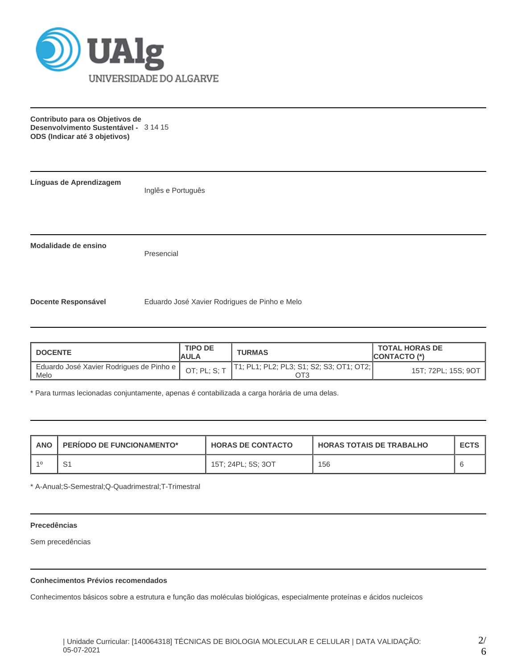

**Contributo para os Objetivos de Desenvolvimento Sustentável -** 3 14 15 **ODS (Indicar até 3 objetivos)**

**Línguas de Aprendizagem**

Inglês e Português

**Modalidade de ensino**

Presencial

**Docente Responsável** Eduardo José Xavier Rodrigues de Pinho e Melo

| DOCENTE                                            | <b>TIPO DE</b><br>IAULA | <b>TURMAS</b>                               | <b>TOTAL HORAS DE</b><br><b>ICONTACTO (*)</b> |
|----------------------------------------------------|-------------------------|---------------------------------------------|-----------------------------------------------|
| Eduardo José Xavier Rodrigues de Pinho e  <br>Melo | OT; PL; $S; T$          | [T1; PL1; PL2; PL3; S1; S2; S3; OT1; OT2; [ | 15T; 72PL; 15S; 9OT                           |

\* Para turmas lecionadas conjuntamente, apenas é contabilizada a carga horária de uma delas.

| <b>ANO</b> | PERIODO DE FUNCIONAMENTO* | <b>HORAS DE CONTACTO</b> | <b>HORAS TOTAIS DE TRABALHO</b> | <b>ECTS</b> |
|------------|---------------------------|--------------------------|---------------------------------|-------------|
|            |                           | 15T; 24PL; 5S; 3OT       | 156                             |             |

\* A-Anual;S-Semestral;Q-Quadrimestral;T-Trimestral

# **Precedências**

Sem precedências

## **Conhecimentos Prévios recomendados**

Conhecimentos básicos sobre a estrutura e função das moléculas biológicas, especialmente proteínas e ácidos nucleicos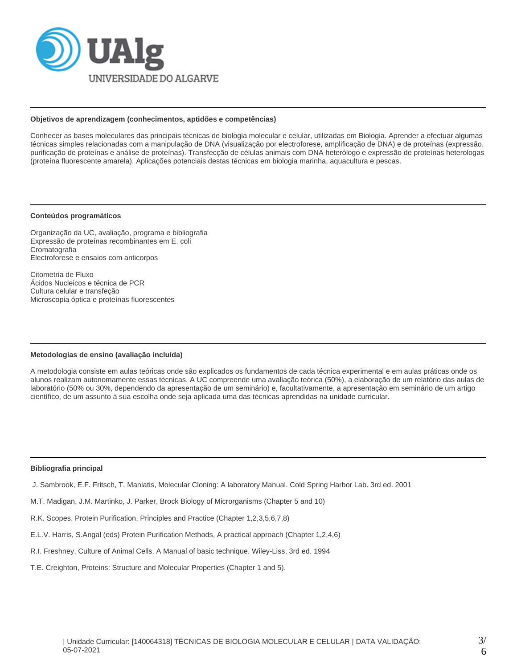

#### **Objetivos de aprendizagem (conhecimentos, aptidões e competências)**

Conhecer as bases moleculares das principais técnicas de biologia molecular e celular, utilizadas em Biologia. Aprender a efectuar algumas técnicas simples relacionadas com a manipulação de DNA (visualização por electroforese, amplificação de DNA) e de proteínas (expressão, purificação de proteínas e análise de proteínas). Transfecção de células animais com DNA heterólogo e expressão de proteínas heterologas (proteína fluorescente amarela). Aplicações potenciais destas técnicas em biologia marinha, aquacultura e pescas.

#### **Conteúdos programáticos**

Organização da UC, avaliação, programa e bibliografia Expressão de proteínas recombinantes em E. coli Cromatografia Electroforese e ensaios com anticorpos

Citometria de Fluxo Ácidos Nucleicos e técnica de PCR Cultura celular e transfeção Microscopia óptica e proteínas fluorescentes

#### **Metodologias de ensino (avaliação incluída)**

A metodologia consiste em aulas teóricas onde são explicados os fundamentos de cada técnica experimental e em aulas práticas onde os alunos realizam autonomamente essas técnicas. A UC compreende uma avaliação teórica (50%), a elaboração de um relatório das aulas de laboratório (50% ou 30%, dependendo da apresentação de um seminário) e, facultativamente, a apresentação em seminário de um artigo científico, de um assunto à sua escolha onde seja aplicada uma das técnicas aprendidas na unidade curricular.

#### **Bibliografia principal**

- J. Sambrook, E.F. Fritsch, T. Maniatis, Molecular Cloning: A laboratory Manual. Cold Spring Harbor Lab. 3rd ed. 2001
- M.T. Madigan, J.M. Martinko, J. Parker, Brock Biology of Microrganisms (Chapter 5 and 10)
- R.K. Scopes, Protein Purification, Principles and Practice (Chapter 1,2,3,5,6,7,8)
- E.L.V. Harris, S.Angal (eds) Protein Purification Methods, A practical approach (Chapter 1,2,4,6)
- R.I. Freshney, Culture of Animal Cells. A Manual of basic technique. Wiley-Liss, 3rd ed. 1994
- T.E. Creighton, Proteins: Structure and Molecular Properties (Chapter 1 and 5).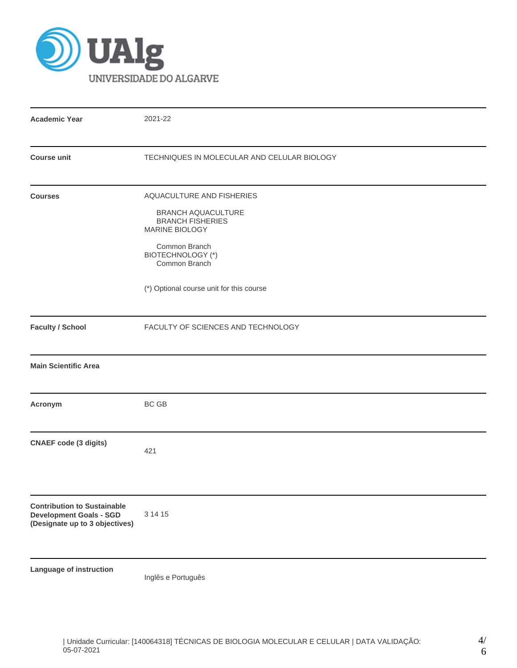

| <b>Academic Year</b>                                                                                   | 2021-22                                                                                                                                                                                                       |  |  |  |  |  |
|--------------------------------------------------------------------------------------------------------|---------------------------------------------------------------------------------------------------------------------------------------------------------------------------------------------------------------|--|--|--|--|--|
| <b>Course unit</b>                                                                                     | TECHNIQUES IN MOLECULAR AND CELULAR BIOLOGY                                                                                                                                                                   |  |  |  |  |  |
| <b>Courses</b>                                                                                         | AQUACULTURE AND FISHERIES<br><b>BRANCH AQUACULTURE</b><br><b>BRANCH FISHERIES</b><br>MARINE BIOLOGY<br>Common Branch<br><b>BIOTECHNOLOGY (*)</b><br>Common Branch<br>(*) Optional course unit for this course |  |  |  |  |  |
| <b>Faculty / School</b>                                                                                | FACULTY OF SCIENCES AND TECHNOLOGY                                                                                                                                                                            |  |  |  |  |  |
| <b>Main Scientific Area</b>                                                                            |                                                                                                                                                                                                               |  |  |  |  |  |
| Acronym                                                                                                | BC GB                                                                                                                                                                                                         |  |  |  |  |  |
| <b>CNAEF code (3 digits)</b>                                                                           | 421                                                                                                                                                                                                           |  |  |  |  |  |
| <b>Contribution to Sustainable</b><br><b>Development Goals - SGD</b><br>(Designate up to 3 objectives) | 3 14 15                                                                                                                                                                                                       |  |  |  |  |  |
| Language of instruction                                                                                | Inglês e Português                                                                                                                                                                                            |  |  |  |  |  |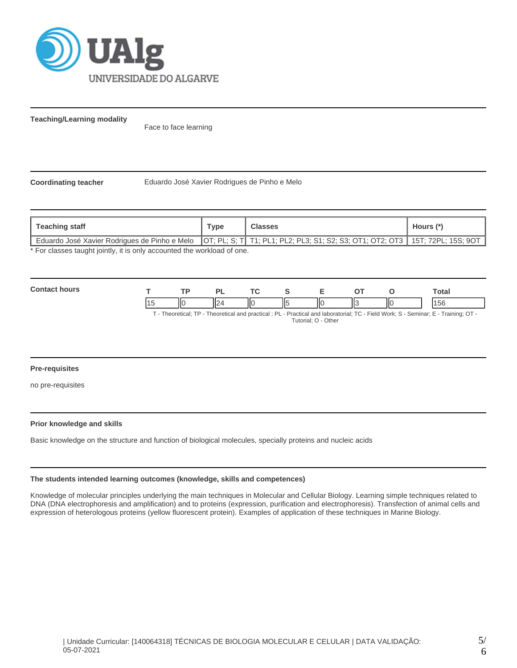

**Teaching/Learning modality**

Face to face learning

**Coordinating teacher** Eduardo José Xavier Rodrigues de Pinho e Melo

| <b>Teaching staff</b>                                                                                                            | <b>Type</b> | Classes | Hours (*) |  |  |  |
|----------------------------------------------------------------------------------------------------------------------------------|-------------|---------|-----------|--|--|--|
| Eduardo José Xavier Rodrigues de Pinho e Melo   OT; PL; S; T  T1; PL1; PL2; PL3; S1; S2; S3; OT1; OT2; OT3   15T; 72PL; 15S; 9OT |             |         |           |  |  |  |
| * For classes taught jointly it is only accounted the workload of one                                                            |             |         |           |  |  |  |

\* For classes taught jointly, it is only accounted the workload of one.

| $\sim$<br>. |     | D)                  | ÷ |     | _ | --     |     | Total |
|-------------|-----|---------------------|---|-----|---|--------|-----|-------|
|             | IІC | $\overline{ }$<br>⋯ |   | 115 |   | "<br>ш | IІC | AEC   |

T - Theoretical; TP - Theoretical and practical ; PL - Practical and laboratorial; TC - Field Work; S - Seminar; E - Training; OT - Tutorial; O - Other

## **Pre-requisites**

no pre-requisites

#### **Prior knowledge and skills**

Basic knowledge on the structure and function of biological molecules, specially proteins and nucleic acids

## **The students intended learning outcomes (knowledge, skills and competences)**

Knowledge of molecular principles underlying the main techniques in Molecular and Cellular Biology. Learning simple techniques related to DNA (DNA electrophoresis and amplification) and to proteins (expression, purification and electrophoresis). Transfection of animal cells and expression of heterologous proteins (yellow fluorescent protein). Examples of application of these techniques in Marine Biology.